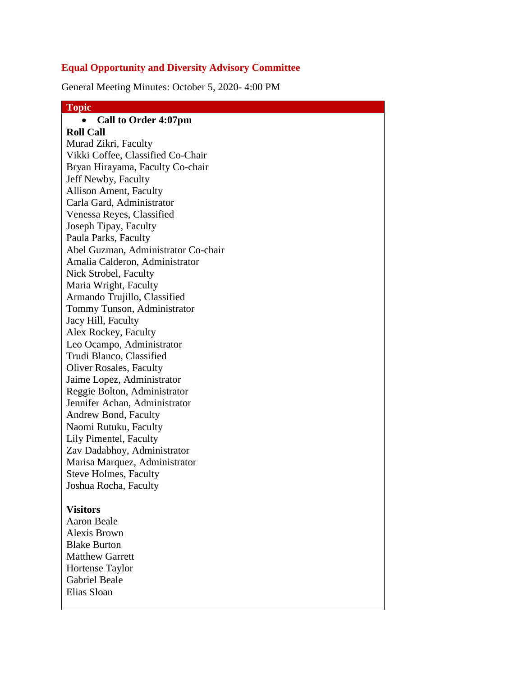### **Equal Opportunity and Diversity Advisory Committee**

General Meeting Minutes: October 5, 2020- 4:00 PM

## **Topic Call to Order 4:07pm Roll Call** Murad Zikri, Faculty Vikki Coffee, Classified Co-Chair Bryan Hirayama, Faculty Co-chair Jeff Newby, Faculty Allison Ament, Faculty Carla Gard, Administrator Venessa Reyes, Classified Joseph Tipay, Faculty Paula Parks, Faculty Abel Guzman, Administrator Co-chair Amalia Calderon, Administrator Nick Strobel, Faculty Maria Wright, Faculty Armando Trujillo, Classified Tommy Tunson, Administrator Jacy Hill, Faculty Alex Rockey, Faculty Leo Ocampo, Administrator Trudi Blanco, Classified Oliver Rosales, Faculty Jaime Lopez, Administrator Reggie Bolton, Administrator Jennifer Achan, Administrator Andrew Bond, Faculty Naomi Rutuku, Faculty Lily Pimentel, Faculty Zav Dadabhoy, Administrator Marisa Marquez, Administrator Steve Holmes, Faculty Joshua Rocha, Faculty **Visitors** Aaron Beale Alexis Brown Blake Burton Matthew Garrett

Gabriel Beale Elias Sloan

Hortense Taylor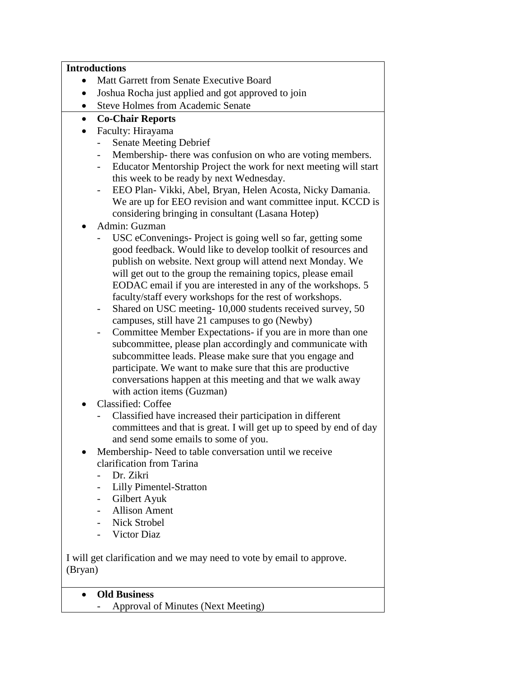### **Introductions**

- Matt Garrett from Senate Executive Board
- Joshua Rocha just applied and got approved to join
- Steve Holmes from Academic Senate

# **Co-Chair Reports**

- Faculty: Hirayama
	- Senate Meeting Debrief
	- Membership- there was confusion on who are voting members.
	- Educator Mentorship Project the work for next meeting will start this week to be ready by next Wednesday.
	- EEO Plan- Vikki, Abel, Bryan, Helen Acosta, Nicky Damania. We are up for EEO revision and want committee input. KCCD is considering bringing in consultant (Lasana Hotep)
- Admin: Guzman
	- USC eConvenings- Project is going well so far, getting some good feedback. Would like to develop toolkit of resources and publish on website. Next group will attend next Monday. We will get out to the group the remaining topics, please email EODAC email if you are interested in any of the workshops. 5 faculty/staff every workshops for the rest of workshops.
	- Shared on USC meeting- 10,000 students received survey, 50 campuses, still have 21 campuses to go (Newby)
	- Committee Member Expectations- if you are in more than one subcommittee, please plan accordingly and communicate with subcommittee leads. Please make sure that you engage and participate. We want to make sure that this are productive conversations happen at this meeting and that we walk away with action items (Guzman)
- Classified: Coffee
	- Classified have increased their participation in different committees and that is great. I will get up to speed by end of day and send some emails to some of you.
- Membership- Need to table conversation until we receive clarification from Tarina
	- Dr. Zikri
	- Lilly Pimentel-Stratton
	- Gilbert Ayuk
	- Allison Ament
	- Nick Strobel
	- Victor Diaz

I will get clarification and we may need to vote by email to approve. (Bryan)

- **Old Business**
	- Approval of Minutes (Next Meeting)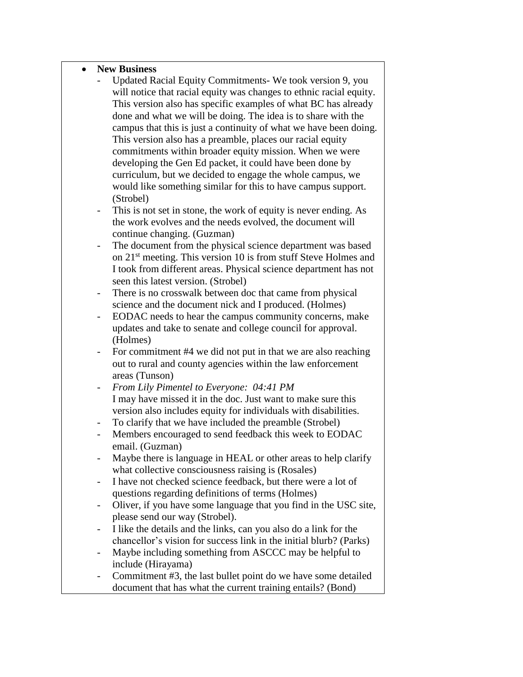#### **New Business**

- Updated Racial Equity Commitments- We took version 9, you will notice that racial equity was changes to ethnic racial equity. This version also has specific examples of what BC has already done and what we will be doing. The idea is to share with the campus that this is just a continuity of what we have been doing. This version also has a preamble, places our racial equity commitments within broader equity mission. When we were developing the Gen Ed packet, it could have been done by curriculum, but we decided to engage the whole campus, we would like something similar for this to have campus support. (Strobel)
- This is not set in stone, the work of equity is never ending. As the work evolves and the needs evolved, the document will continue changing. (Guzman)
- The document from the physical science department was based on 21<sup>st</sup> meeting. This version 10 is from stuff Steve Holmes and I took from different areas. Physical science department has not seen this latest version. (Strobel)
- There is no crosswalk between doc that came from physical science and the document nick and I produced. (Holmes)
- EODAC needs to hear the campus community concerns, make updates and take to senate and college council for approval. (Holmes)
- For commitment #4 we did not put in that we are also reaching out to rural and county agencies within the law enforcement areas (Tunson)
- *From Lily Pimentel to Everyone: 04:41 PM* I may have missed it in the doc. Just want to make sure this version also includes equity for individuals with disabilities.
- To clarify that we have included the preamble (Strobel)
- Members encouraged to send feedback this week to EODAC email. (Guzman)
- Maybe there is language in HEAL or other areas to help clarify what collective consciousness raising is (Rosales)
- I have not checked science feedback, but there were a lot of questions regarding definitions of terms (Holmes)
- Oliver, if you have some language that you find in the USC site, please send our way (Strobel).
- I like the details and the links, can you also do a link for the chancellor's vision for success link in the initial blurb? (Parks)
- Maybe including something from ASCCC may be helpful to include (Hirayama)
- Commitment #3, the last bullet point do we have some detailed document that has what the current training entails? (Bond)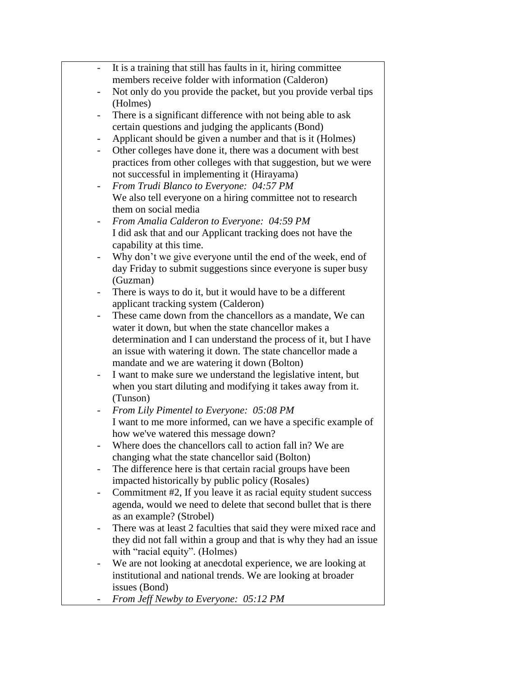|                              | It is a training that still has faults in it, hiring committee                                                                |
|------------------------------|-------------------------------------------------------------------------------------------------------------------------------|
|                              | members receive folder with information (Calderon)                                                                            |
|                              | Not only do you provide the packet, but you provide verbal tips<br>(Holmes)                                                   |
| $\qquad \qquad \blacksquare$ | There is a significant difference with not being able to ask                                                                  |
|                              | certain questions and judging the applicants (Bond)                                                                           |
| -                            | Applicant should be given a number and that is it (Holmes)                                                                    |
| $\overline{\phantom{0}}$     | Other colleges have done it, there was a document with best                                                                   |
|                              | practices from other colleges with that suggestion, but we were                                                               |
|                              | not successful in implementing it (Hirayama)                                                                                  |
| -                            | From Trudi Blanco to Everyone: 04:57 PM                                                                                       |
|                              | We also tell everyone on a hiring committee not to research                                                                   |
|                              | them on social media                                                                                                          |
|                              | From Amalia Calderon to Everyone: 04:59 PM                                                                                    |
|                              | I did ask that and our Applicant tracking does not have the                                                                   |
|                              | capability at this time.                                                                                                      |
|                              | Why don't we give everyone until the end of the week, end of                                                                  |
|                              | day Friday to submit suggestions since everyone is super busy                                                                 |
|                              | (Guzman)                                                                                                                      |
|                              | There is ways to do it, but it would have to be a different                                                                   |
|                              | applicant tracking system (Calderon)                                                                                          |
|                              | These came down from the chancellors as a mandate, We can                                                                     |
|                              | water it down, but when the state chancellor makes a                                                                          |
|                              | determination and I can understand the process of it, but I have                                                              |
|                              | an issue with watering it down. The state chancellor made a                                                                   |
|                              | mandate and we are watering it down (Bolton)                                                                                  |
| $\qquad \qquad \blacksquare$ | I want to make sure we understand the legislative intent, but<br>when you start diluting and modifying it takes away from it. |
|                              | (Tunson)                                                                                                                      |
|                              | From Lily Pimentel to Everyone: 05:08 PM                                                                                      |
|                              | I want to me more informed, can we have a specific example of                                                                 |
|                              | how we've watered this message down?                                                                                          |
|                              | Where does the chancellors call to action fall in? We are                                                                     |
|                              | changing what the state chancellor said (Bolton)                                                                              |
|                              | The difference here is that certain racial groups have been                                                                   |
|                              | impacted historically by public policy (Rosales)                                                                              |
|                              | Commitment #2, If you leave it as racial equity student success                                                               |
|                              | agenda, would we need to delete that second bullet that is there                                                              |
|                              | as an example? (Strobel)                                                                                                      |
|                              | There was at least 2 faculties that said they were mixed race and                                                             |
|                              | they did not fall within a group and that is why they had an issue                                                            |
|                              | with "racial equity". (Holmes)                                                                                                |
|                              | We are not looking at anecdotal experience, we are looking at                                                                 |
|                              | institutional and national trends. We are looking at broader                                                                  |
|                              | issues (Bond)                                                                                                                 |
|                              | From Jeff Newby to Everyone: 05:12 PM                                                                                         |